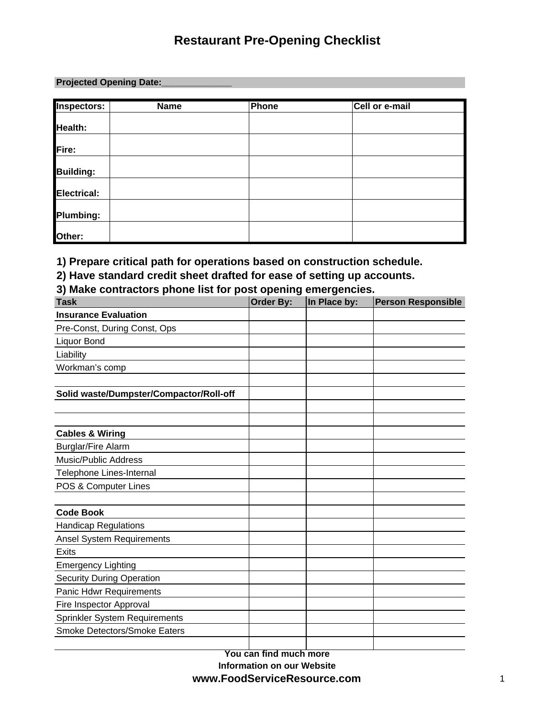### **Projected Opening Date:\_\_\_\_\_\_\_\_\_\_\_\_\_\_**

| <b>Inspectors:</b> | <b>Name</b> | <b>Phone</b> | Cell or e-mail |
|--------------------|-------------|--------------|----------------|
| Health:            |             |              |                |
| Fire:              |             |              |                |
| <b>Building:</b>   |             |              |                |
| Electrical:        |             |              |                |
| Plumbing:          |             |              |                |
| Other:             |             |              |                |

**1) Prepare critical path for operations based on construction schedule.**

**2) Have standard credit sheet drafted for ease of setting up accounts.**

**3) Make contractors phone list for post opening emergencies.**

| <b>Task</b>                             | <b>Order By:</b> | In Place by: | <b>Person Responsible</b> |
|-----------------------------------------|------------------|--------------|---------------------------|
| <b>Insurance Evaluation</b>             |                  |              |                           |
| Pre-Const, During Const, Ops            |                  |              |                           |
| Liquor Bond                             |                  |              |                           |
| Liability                               |                  |              |                           |
| Workman's comp                          |                  |              |                           |
|                                         |                  |              |                           |
| Solid waste/Dumpster/Compactor/Roll-off |                  |              |                           |
|                                         |                  |              |                           |
|                                         |                  |              |                           |
| <b>Cables &amp; Wiring</b>              |                  |              |                           |
| <b>Burglar/Fire Alarm</b>               |                  |              |                           |
| <b>Music/Public Address</b>             |                  |              |                           |
| Telephone Lines-Internal                |                  |              |                           |
| POS & Computer Lines                    |                  |              |                           |
|                                         |                  |              |                           |
| <b>Code Book</b>                        |                  |              |                           |
| <b>Handicap Regulations</b>             |                  |              |                           |
| <b>Ansel System Requirements</b>        |                  |              |                           |
| <b>Exits</b>                            |                  |              |                           |
| <b>Emergency Lighting</b>               |                  |              |                           |
| <b>Security During Operation</b>        |                  |              |                           |
| Panic Hdwr Requirements                 |                  |              |                           |
| Fire Inspector Approval                 |                  |              |                           |
| Sprinkler System Requirements           |                  |              |                           |
| Smoke Detectors/Smoke Eaters            |                  |              |                           |
|                                         |                  |              |                           |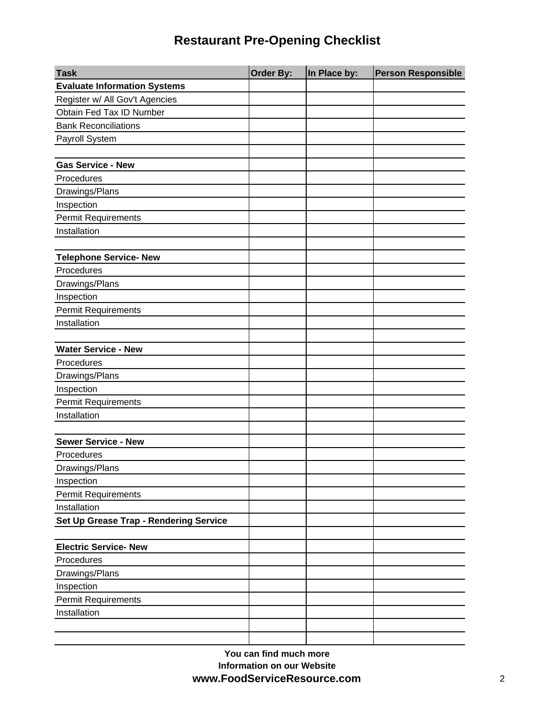| <b>Task</b>                            | <b>Order By:</b> | In Place by: | <b>Person Responsible</b> |
|----------------------------------------|------------------|--------------|---------------------------|
| <b>Evaluate Information Systems</b>    |                  |              |                           |
| Register w/ All Gov't Agencies         |                  |              |                           |
| Obtain Fed Tax ID Number               |                  |              |                           |
| <b>Bank Reconciliations</b>            |                  |              |                           |
| Payroll System                         |                  |              |                           |
|                                        |                  |              |                           |
| <b>Gas Service - New</b>               |                  |              |                           |
| Procedures                             |                  |              |                           |
| Drawings/Plans                         |                  |              |                           |
| Inspection                             |                  |              |                           |
| <b>Permit Requirements</b>             |                  |              |                           |
| Installation                           |                  |              |                           |
|                                        |                  |              |                           |
| <b>Telephone Service- New</b>          |                  |              |                           |
| Procedures                             |                  |              |                           |
| Drawings/Plans                         |                  |              |                           |
| Inspection                             |                  |              |                           |
| <b>Permit Requirements</b>             |                  |              |                           |
| Installation                           |                  |              |                           |
|                                        |                  |              |                           |
| <b>Water Service - New</b>             |                  |              |                           |
| Procedures                             |                  |              |                           |
| Drawings/Plans                         |                  |              |                           |
| Inspection                             |                  |              |                           |
| <b>Permit Requirements</b>             |                  |              |                           |
| Installation                           |                  |              |                           |
|                                        |                  |              |                           |
| <b>Sewer Service - New</b>             |                  |              |                           |
| Procedures                             |                  |              |                           |
| Drawings/Plans                         |                  |              |                           |
| Inspection                             |                  |              |                           |
| <b>Permit Requirements</b>             |                  |              |                           |
| Installation                           |                  |              |                           |
| Set Up Grease Trap - Rendering Service |                  |              |                           |
|                                        |                  |              |                           |
| <b>Electric Service- New</b>           |                  |              |                           |
| Procedures                             |                  |              |                           |
| Drawings/Plans                         |                  |              |                           |
| Inspection                             |                  |              |                           |
| <b>Permit Requirements</b>             |                  |              |                           |
| Installation                           |                  |              |                           |
|                                        |                  |              |                           |
|                                        |                  |              |                           |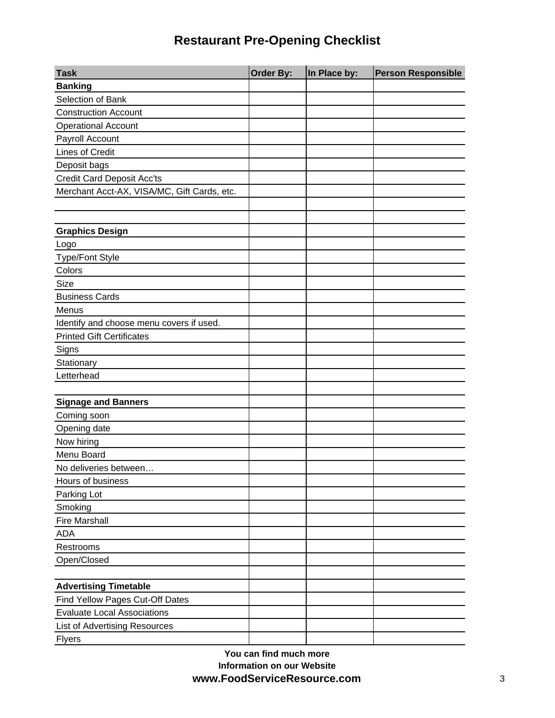| <b>Task</b>                                 | <b>Order By:</b> | In Place by: | <b>Person Responsible</b> |
|---------------------------------------------|------------------|--------------|---------------------------|
| <b>Banking</b>                              |                  |              |                           |
| Selection of Bank                           |                  |              |                           |
| <b>Construction Account</b>                 |                  |              |                           |
| <b>Operational Account</b>                  |                  |              |                           |
| Payroll Account                             |                  |              |                           |
| Lines of Credit                             |                  |              |                           |
| Deposit bags                                |                  |              |                           |
| <b>Credit Card Deposit Acc'ts</b>           |                  |              |                           |
| Merchant Acct-AX, VISA/MC, Gift Cards, etc. |                  |              |                           |
|                                             |                  |              |                           |
|                                             |                  |              |                           |
| <b>Graphics Design</b>                      |                  |              |                           |
| Logo                                        |                  |              |                           |
| <b>Type/Font Style</b>                      |                  |              |                           |
| Colors                                      |                  |              |                           |
| Size                                        |                  |              |                           |
| <b>Business Cards</b>                       |                  |              |                           |
| Menus                                       |                  |              |                           |
| Identify and choose menu covers if used.    |                  |              |                           |
| <b>Printed Gift Certificates</b>            |                  |              |                           |
| Signs                                       |                  |              |                           |
| Stationary                                  |                  |              |                           |
| Letterhead                                  |                  |              |                           |
|                                             |                  |              |                           |
| <b>Signage and Banners</b>                  |                  |              |                           |
| Coming soon                                 |                  |              |                           |
| Opening date                                |                  |              |                           |
| Now hiring                                  |                  |              |                           |
| Menu Board                                  |                  |              |                           |
| No deliveries between                       |                  |              |                           |
| Hours of business                           |                  |              |                           |
| Parking Lot                                 |                  |              |                           |
| Smoking                                     |                  |              |                           |
| <b>Fire Marshall</b>                        |                  |              |                           |
| <b>ADA</b>                                  |                  |              |                           |
| Restrooms                                   |                  |              |                           |
| Open/Closed                                 |                  |              |                           |
|                                             |                  |              |                           |
| <b>Advertising Timetable</b>                |                  |              |                           |
| Find Yellow Pages Cut-Off Dates             |                  |              |                           |
| <b>Evaluate Local Associations</b>          |                  |              |                           |
| <b>List of Advertising Resources</b>        |                  |              |                           |
| <b>Flyers</b>                               |                  |              |                           |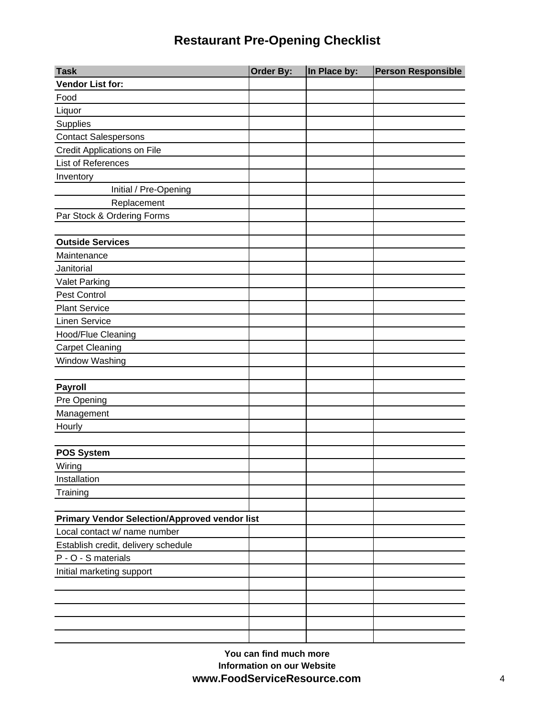| <b>Task</b>                                          | Order By: | In Place by: | <b>Person Responsible</b> |
|------------------------------------------------------|-----------|--------------|---------------------------|
| <b>Vendor List for:</b>                              |           |              |                           |
| Food                                                 |           |              |                           |
| Liquor                                               |           |              |                           |
| Supplies                                             |           |              |                           |
| <b>Contact Salespersons</b>                          |           |              |                           |
| <b>Credit Applications on File</b>                   |           |              |                           |
| List of References                                   |           |              |                           |
| Inventory                                            |           |              |                           |
| Initial / Pre-Opening                                |           |              |                           |
| Replacement                                          |           |              |                           |
| Par Stock & Ordering Forms                           |           |              |                           |
|                                                      |           |              |                           |
| <b>Outside Services</b>                              |           |              |                           |
| Maintenance                                          |           |              |                           |
| Janitorial                                           |           |              |                           |
| <b>Valet Parking</b>                                 |           |              |                           |
| Pest Control                                         |           |              |                           |
| <b>Plant Service</b>                                 |           |              |                           |
| <b>Linen Service</b>                                 |           |              |                           |
| Hood/Flue Cleaning                                   |           |              |                           |
| <b>Carpet Cleaning</b>                               |           |              |                           |
| Window Washing                                       |           |              |                           |
|                                                      |           |              |                           |
| <b>Payroll</b>                                       |           |              |                           |
| Pre Opening                                          |           |              |                           |
| Management                                           |           |              |                           |
| Hourly                                               |           |              |                           |
|                                                      |           |              |                           |
| <b>POS System</b>                                    |           |              |                           |
| Wiring                                               |           |              |                           |
| Installation                                         |           |              |                           |
| Training                                             |           |              |                           |
|                                                      |           |              |                           |
| <b>Primary Vendor Selection/Approved vendor list</b> |           |              |                           |
| Local contact w/ name number                         |           |              |                           |
| Establish credit, delivery schedule                  |           |              |                           |
| P - O - S materials                                  |           |              |                           |
| Initial marketing support                            |           |              |                           |
|                                                      |           |              |                           |
|                                                      |           |              |                           |
|                                                      |           |              |                           |
|                                                      |           |              |                           |
|                                                      |           |              |                           |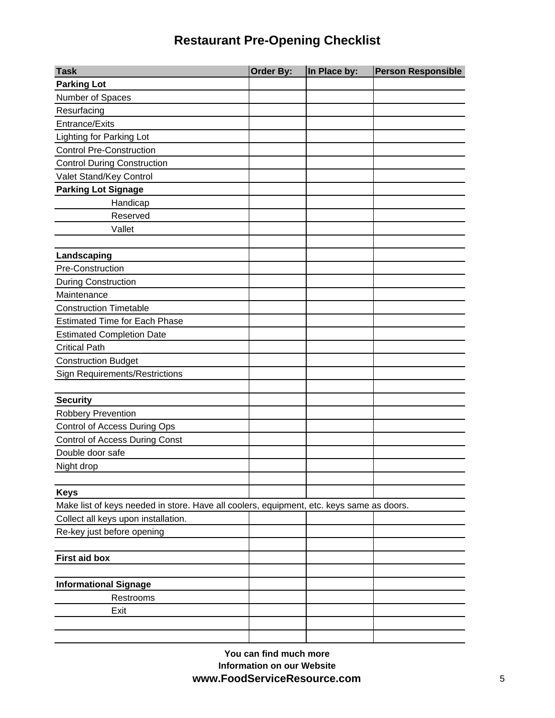| <b>Task</b>                                                                              | <b>Order By:</b> | In Place by: | <b>Person Responsible</b> |
|------------------------------------------------------------------------------------------|------------------|--------------|---------------------------|
| <b>Parking Lot</b>                                                                       |                  |              |                           |
| Number of Spaces                                                                         |                  |              |                           |
| Resurfacing                                                                              |                  |              |                           |
| <b>Entrance/Exits</b>                                                                    |                  |              |                           |
| Lighting for Parking Lot                                                                 |                  |              |                           |
| <b>Control Pre-Construction</b>                                                          |                  |              |                           |
| <b>Control During Construction</b>                                                       |                  |              |                           |
| Valet Stand/Key Control                                                                  |                  |              |                           |
| <b>Parking Lot Signage</b>                                                               |                  |              |                           |
| Handicap                                                                                 |                  |              |                           |
| Reserved                                                                                 |                  |              |                           |
| Vallet                                                                                   |                  |              |                           |
|                                                                                          |                  |              |                           |
| Landscaping                                                                              |                  |              |                           |
| Pre-Construction                                                                         |                  |              |                           |
| <b>During Construction</b>                                                               |                  |              |                           |
| Maintenance                                                                              |                  |              |                           |
| <b>Construction Timetable</b>                                                            |                  |              |                           |
| <b>Estimated Time for Each Phase</b>                                                     |                  |              |                           |
| <b>Estimated Completion Date</b>                                                         |                  |              |                           |
| <b>Critical Path</b>                                                                     |                  |              |                           |
| <b>Construction Budget</b>                                                               |                  |              |                           |
| <b>Sign Requirements/Restrictions</b>                                                    |                  |              |                           |
|                                                                                          |                  |              |                           |
| <b>Security</b>                                                                          |                  |              |                           |
| <b>Robbery Prevention</b>                                                                |                  |              |                           |
| Control of Access During Ops                                                             |                  |              |                           |
| <b>Control of Access During Const</b>                                                    |                  |              |                           |
| Double door safe                                                                         |                  |              |                           |
| Night drop                                                                               |                  |              |                           |
| <b>Keys</b>                                                                              |                  |              |                           |
| Make list of keys needed in store. Have all coolers, equipment, etc. keys same as doors. |                  |              |                           |
| Collect all keys upon installation.                                                      |                  |              |                           |
| Re-key just before opening                                                               |                  |              |                           |
|                                                                                          |                  |              |                           |
| <b>First aid box</b>                                                                     |                  |              |                           |
|                                                                                          |                  |              |                           |
| <b>Informational Signage</b>                                                             |                  |              |                           |
| Restrooms                                                                                |                  |              |                           |
| Exit                                                                                     |                  |              |                           |
|                                                                                          |                  |              |                           |
|                                                                                          |                  |              |                           |

**You can find much more Information on our Website www.FoodServiceResource.com** 5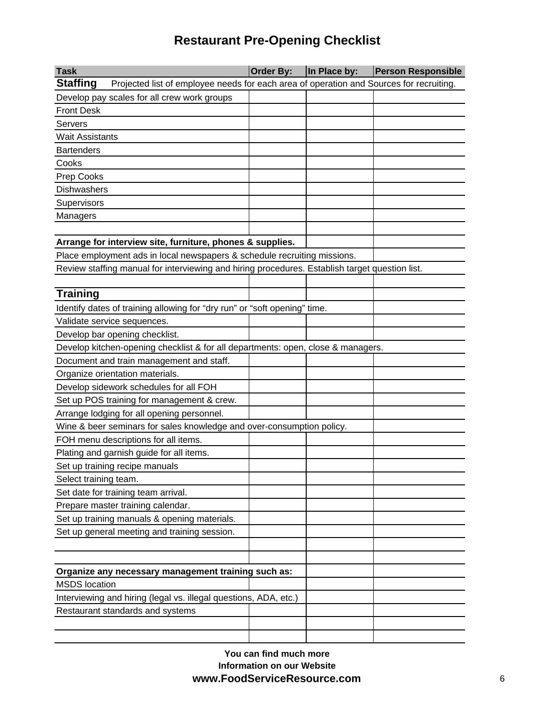| <b>Task</b>                                                                                                | Order By: | In Place by: | <b>Person Responsible</b> |
|------------------------------------------------------------------------------------------------------------|-----------|--------------|---------------------------|
| <b>Staffing</b><br>Projected list of employee needs for each area of operation and Sources for recruiting. |           |              |                           |
| Develop pay scales for all crew work groups                                                                |           |              |                           |
| <b>Front Desk</b>                                                                                          |           |              |                           |
| Servers                                                                                                    |           |              |                           |
| <b>Wait Assistants</b>                                                                                     |           |              |                           |
| <b>Bartenders</b>                                                                                          |           |              |                           |
| Cooks                                                                                                      |           |              |                           |
| Prep Cooks                                                                                                 |           |              |                           |
| <b>Dishwashers</b>                                                                                         |           |              |                           |
| Supervisors                                                                                                |           |              |                           |
| Managers                                                                                                   |           |              |                           |
|                                                                                                            |           |              |                           |
| Arrange for interview site, furniture, phones & supplies.                                                  |           |              |                           |
| Place employment ads in local newspapers & schedule recruiting missions.                                   |           |              |                           |
| Review staffing manual for interviewing and hiring procedures. Establish target question list.             |           |              |                           |
|                                                                                                            |           |              |                           |
| <b>Training</b>                                                                                            |           |              |                           |
| Identify dates of training allowing for "dry run" or "soft opening" time.                                  |           |              |                           |
| Validate service sequences.                                                                                |           |              |                           |
| Develop bar opening checklist.                                                                             |           |              |                           |
| Develop kitchen-opening checklist & for all departments: open, close & managers.                           |           |              |                           |
| Document and train management and staff.                                                                   |           |              |                           |
| Organize orientation materials.                                                                            |           |              |                           |
| Develop sidework schedules for all FOH                                                                     |           |              |                           |
| Set up POS training for management & crew.                                                                 |           |              |                           |
| Arrange lodging for all opening personnel.                                                                 |           |              |                           |
| Wine & beer seminars for sales knowledge and over-consumption policy.                                      |           |              |                           |
| FOH menu descriptions for all items.                                                                       |           |              |                           |
| Plating and garnish guide for all items.                                                                   |           |              |                           |
| Set up training recipe manuals                                                                             |           |              |                           |
| Select training team.                                                                                      |           |              |                           |
| Set date for training team arrival.                                                                        |           |              |                           |
| Prepare master training calendar.                                                                          |           |              |                           |
| Set up training manuals & opening materials.                                                               |           |              |                           |
| Set up general meeting and training session.                                                               |           |              |                           |
|                                                                                                            |           |              |                           |
|                                                                                                            |           |              |                           |
| Organize any necessary management training such as:                                                        |           |              |                           |
| <b>MSDS</b> location                                                                                       |           |              |                           |
| Interviewing and hiring (legal vs. illegal questions, ADA, etc.)                                           |           |              |                           |
| Restaurant standards and systems                                                                           |           |              |                           |
|                                                                                                            |           |              |                           |
|                                                                                                            |           |              |                           |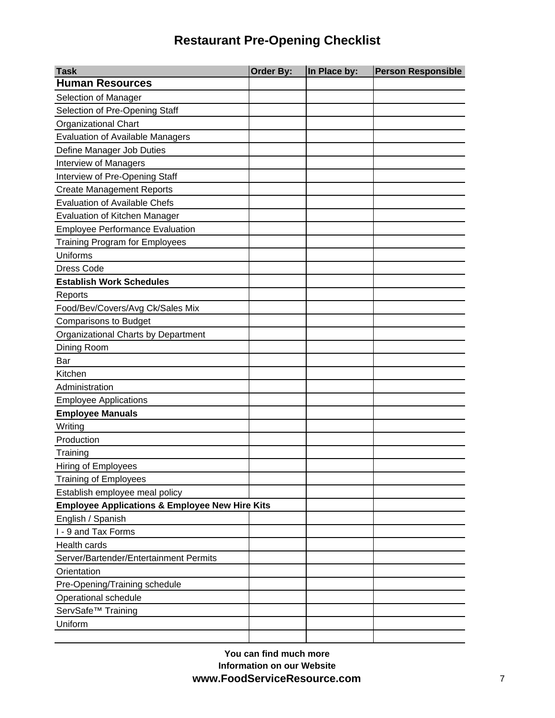| <b>Task</b>                                               | <b>Order By:</b> | In Place by: | <b>Person Responsible</b> |
|-----------------------------------------------------------|------------------|--------------|---------------------------|
| <b>Human Resources</b>                                    |                  |              |                           |
| Selection of Manager                                      |                  |              |                           |
| Selection of Pre-Opening Staff                            |                  |              |                           |
| <b>Organizational Chart</b>                               |                  |              |                           |
| <b>Evaluation of Available Managers</b>                   |                  |              |                           |
| Define Manager Job Duties                                 |                  |              |                           |
| Interview of Managers                                     |                  |              |                           |
| Interview of Pre-Opening Staff                            |                  |              |                           |
| <b>Create Management Reports</b>                          |                  |              |                           |
| <b>Evaluation of Available Chefs</b>                      |                  |              |                           |
| Evaluation of Kitchen Manager                             |                  |              |                           |
| <b>Employee Performance Evaluation</b>                    |                  |              |                           |
| <b>Training Program for Employees</b>                     |                  |              |                           |
| Uniforms                                                  |                  |              |                           |
| <b>Dress Code</b>                                         |                  |              |                           |
| <b>Establish Work Schedules</b>                           |                  |              |                           |
| Reports                                                   |                  |              |                           |
| Food/Bev/Covers/Avg Ck/Sales Mix                          |                  |              |                           |
| <b>Comparisons to Budget</b>                              |                  |              |                           |
| Organizational Charts by Department                       |                  |              |                           |
| Dining Room                                               |                  |              |                           |
| Bar                                                       |                  |              |                           |
| Kitchen                                                   |                  |              |                           |
| Administration                                            |                  |              |                           |
| <b>Employee Applications</b>                              |                  |              |                           |
| <b>Employee Manuals</b>                                   |                  |              |                           |
| Writing                                                   |                  |              |                           |
| Production                                                |                  |              |                           |
| Training                                                  |                  |              |                           |
| Hiring of Employees                                       |                  |              |                           |
| <b>Training of Employees</b>                              |                  |              |                           |
| Establish employee meal policy                            |                  |              |                           |
| <b>Employee Applications &amp; Employee New Hire Kits</b> |                  |              |                           |
| English / Spanish                                         |                  |              |                           |
| I - 9 and Tax Forms                                       |                  |              |                           |
| Health cards                                              |                  |              |                           |
| Server/Bartender/Entertainment Permits                    |                  |              |                           |
| Orientation                                               |                  |              |                           |
| Pre-Opening/Training schedule                             |                  |              |                           |
| Operational schedule                                      |                  |              |                           |
| ServSafe <sup>™</sup> Training                            |                  |              |                           |
| Uniform                                                   |                  |              |                           |
|                                                           |                  |              |                           |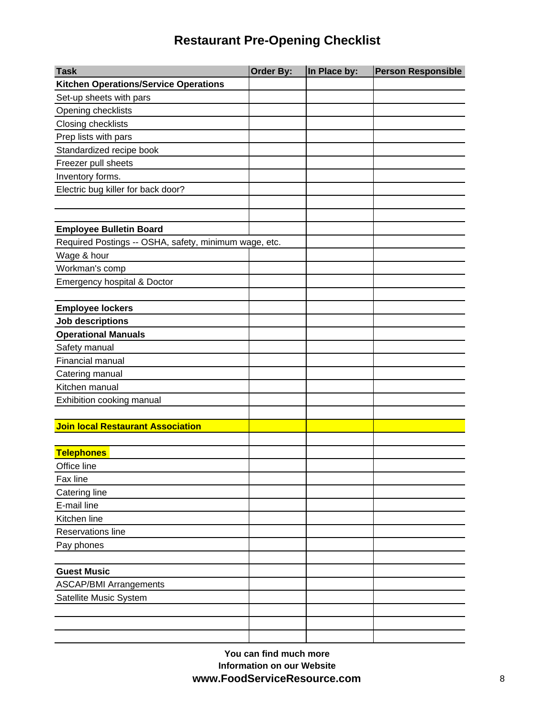| <b>Task</b>                                           | Order By: | In Place by: | <b>Person Responsible</b> |
|-------------------------------------------------------|-----------|--------------|---------------------------|
| <b>Kitchen Operations/Service Operations</b>          |           |              |                           |
| Set-up sheets with pars                               |           |              |                           |
| Opening checklists                                    |           |              |                           |
| Closing checklists                                    |           |              |                           |
| Prep lists with pars                                  |           |              |                           |
| Standardized recipe book                              |           |              |                           |
| Freezer pull sheets                                   |           |              |                           |
| Inventory forms.                                      |           |              |                           |
| Electric bug killer for back door?                    |           |              |                           |
|                                                       |           |              |                           |
|                                                       |           |              |                           |
| <b>Employee Bulletin Board</b>                        |           |              |                           |
| Required Postings -- OSHA, safety, minimum wage, etc. |           |              |                           |
| Wage & hour                                           |           |              |                           |
| Workman's comp                                        |           |              |                           |
| Emergency hospital & Doctor                           |           |              |                           |
|                                                       |           |              |                           |
| <b>Employee lockers</b>                               |           |              |                           |
| Job descriptions                                      |           |              |                           |
| <b>Operational Manuals</b>                            |           |              |                           |
| Safety manual                                         |           |              |                           |
| Financial manual                                      |           |              |                           |
| Catering manual                                       |           |              |                           |
| Kitchen manual                                        |           |              |                           |
| Exhibition cooking manual                             |           |              |                           |
|                                                       |           |              |                           |
| <b>Join local Restaurant Association</b>              |           |              |                           |
|                                                       |           |              |                           |
| <b>Telephones</b>                                     |           |              |                           |
| Office line                                           |           |              |                           |
| Fax line                                              |           |              |                           |
| Catering line                                         |           |              |                           |
| E-mail line                                           |           |              |                           |
| Kitchen line                                          |           |              |                           |
| Reservations line                                     |           |              |                           |
| Pay phones                                            |           |              |                           |
|                                                       |           |              |                           |
| <b>Guest Music</b>                                    |           |              |                           |
| <b>ASCAP/BMI Arrangements</b>                         |           |              |                           |
| Satellite Music System                                |           |              |                           |
|                                                       |           |              |                           |
|                                                       |           |              |                           |
|                                                       |           |              |                           |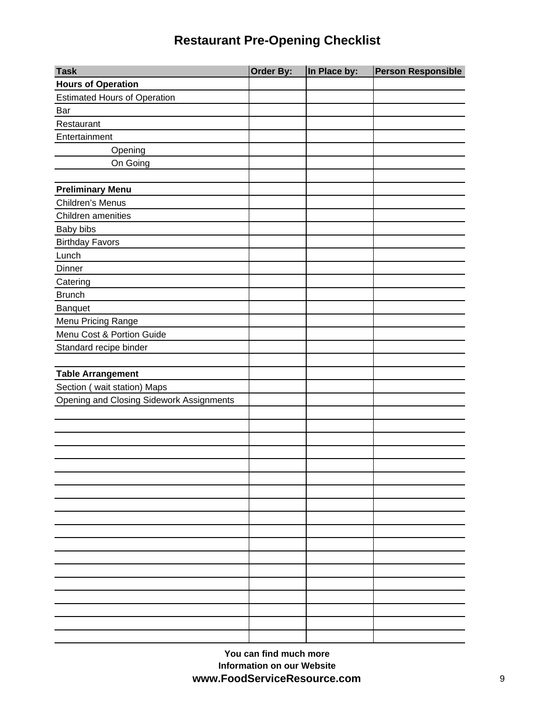| <b>Task</b>                              | Order By: | In Place by: | <b>Person Responsible</b> |
|------------------------------------------|-----------|--------------|---------------------------|
| <b>Hours of Operation</b>                |           |              |                           |
| <b>Estimated Hours of Operation</b>      |           |              |                           |
| Bar                                      |           |              |                           |
| Restaurant                               |           |              |                           |
| Entertainment                            |           |              |                           |
| Opening                                  |           |              |                           |
| On Going                                 |           |              |                           |
|                                          |           |              |                           |
| <b>Preliminary Menu</b>                  |           |              |                           |
| Children's Menus                         |           |              |                           |
| Children amenities                       |           |              |                           |
| Baby bibs                                |           |              |                           |
| <b>Birthday Favors</b>                   |           |              |                           |
| Lunch                                    |           |              |                           |
| Dinner                                   |           |              |                           |
| Catering                                 |           |              |                           |
| <b>Brunch</b>                            |           |              |                           |
| Banquet                                  |           |              |                           |
| Menu Pricing Range                       |           |              |                           |
| Menu Cost & Portion Guide                |           |              |                           |
| Standard recipe binder                   |           |              |                           |
|                                          |           |              |                           |
| <b>Table Arrangement</b>                 |           |              |                           |
| Section (wait station) Maps              |           |              |                           |
| Opening and Closing Sidework Assignments |           |              |                           |
|                                          |           |              |                           |
|                                          |           |              |                           |
|                                          |           |              |                           |
|                                          |           |              |                           |
|                                          |           |              |                           |
|                                          |           |              |                           |
|                                          |           |              |                           |
|                                          |           |              |                           |
|                                          |           |              |                           |
|                                          |           |              |                           |
|                                          |           |              |                           |
|                                          |           |              |                           |
|                                          |           |              |                           |
|                                          |           |              |                           |
|                                          |           |              |                           |
|                                          |           |              |                           |
|                                          |           |              |                           |
|                                          |           |              |                           |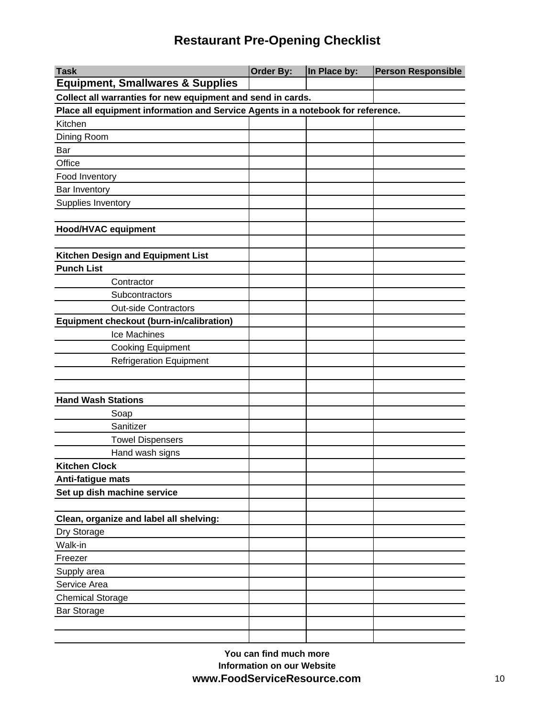| <b>Task</b>                                                                     | <b>Order By:</b>                                            | In Place by: | <b>Person Responsible</b> |  |  |
|---------------------------------------------------------------------------------|-------------------------------------------------------------|--------------|---------------------------|--|--|
| <b>Equipment, Smallwares &amp; Supplies</b>                                     |                                                             |              |                           |  |  |
|                                                                                 | Collect all warranties for new equipment and send in cards. |              |                           |  |  |
| Place all equipment information and Service Agents in a notebook for reference. |                                                             |              |                           |  |  |
| Kitchen                                                                         |                                                             |              |                           |  |  |
| Dining Room                                                                     |                                                             |              |                           |  |  |
| Bar                                                                             |                                                             |              |                           |  |  |
| Office                                                                          |                                                             |              |                           |  |  |
| Food Inventory                                                                  |                                                             |              |                           |  |  |
| Bar Inventory                                                                   |                                                             |              |                           |  |  |
| Supplies Inventory                                                              |                                                             |              |                           |  |  |
|                                                                                 |                                                             |              |                           |  |  |
| <b>Hood/HVAC equipment</b>                                                      |                                                             |              |                           |  |  |
|                                                                                 |                                                             |              |                           |  |  |
| Kitchen Design and Equipment List                                               |                                                             |              |                           |  |  |
| <b>Punch List</b>                                                               |                                                             |              |                           |  |  |
| Contractor                                                                      |                                                             |              |                           |  |  |
| Subcontractors                                                                  |                                                             |              |                           |  |  |
| <b>Out-side Contractors</b>                                                     |                                                             |              |                           |  |  |
| Equipment checkout (burn-in/calibration)                                        |                                                             |              |                           |  |  |
| Ice Machines                                                                    |                                                             |              |                           |  |  |
| <b>Cooking Equipment</b>                                                        |                                                             |              |                           |  |  |
| <b>Refrigeration Equipment</b>                                                  |                                                             |              |                           |  |  |
|                                                                                 |                                                             |              |                           |  |  |
|                                                                                 |                                                             |              |                           |  |  |
| <b>Hand Wash Stations</b>                                                       |                                                             |              |                           |  |  |
| Soap                                                                            |                                                             |              |                           |  |  |
| Sanitizer                                                                       |                                                             |              |                           |  |  |
| <b>Towel Dispensers</b>                                                         |                                                             |              |                           |  |  |
| Hand wash signs                                                                 |                                                             |              |                           |  |  |
| <b>Kitchen Clock</b>                                                            |                                                             |              |                           |  |  |
| Anti-fatigue mats                                                               |                                                             |              |                           |  |  |
| Set up dish machine service                                                     |                                                             |              |                           |  |  |
|                                                                                 |                                                             |              |                           |  |  |
| Clean, organize and label all shelving:                                         |                                                             |              |                           |  |  |
| Dry Storage                                                                     |                                                             |              |                           |  |  |
| Walk-in                                                                         |                                                             |              |                           |  |  |
| Freezer                                                                         |                                                             |              |                           |  |  |
| Supply area                                                                     |                                                             |              |                           |  |  |
| Service Area                                                                    |                                                             |              |                           |  |  |
| <b>Chemical Storage</b>                                                         |                                                             |              |                           |  |  |
| <b>Bar Storage</b>                                                              |                                                             |              |                           |  |  |
|                                                                                 |                                                             |              |                           |  |  |
|                                                                                 |                                                             |              |                           |  |  |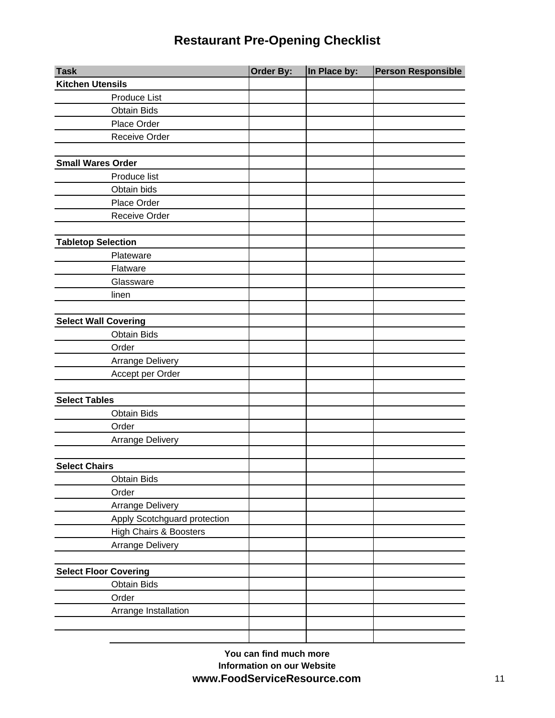| <b>Task</b>                  | Order By: | In Place by: | <b>Person Responsible</b> |
|------------------------------|-----------|--------------|---------------------------|
| <b>Kitchen Utensils</b>      |           |              |                           |
| Produce List                 |           |              |                           |
| <b>Obtain Bids</b>           |           |              |                           |
| Place Order                  |           |              |                           |
| Receive Order                |           |              |                           |
|                              |           |              |                           |
| <b>Small Wares Order</b>     |           |              |                           |
| Produce list                 |           |              |                           |
| Obtain bids                  |           |              |                           |
| Place Order                  |           |              |                           |
| Receive Order                |           |              |                           |
|                              |           |              |                           |
| <b>Tabletop Selection</b>    |           |              |                           |
| Plateware                    |           |              |                           |
| Flatware                     |           |              |                           |
| Glassware                    |           |              |                           |
| linen                        |           |              |                           |
|                              |           |              |                           |
| <b>Select Wall Covering</b>  |           |              |                           |
| <b>Obtain Bids</b>           |           |              |                           |
| Order                        |           |              |                           |
| Arrange Delivery             |           |              |                           |
| Accept per Order             |           |              |                           |
|                              |           |              |                           |
| <b>Select Tables</b>         |           |              |                           |
| <b>Obtain Bids</b>           |           |              |                           |
| Order                        |           |              |                           |
| <b>Arrange Delivery</b>      |           |              |                           |
|                              |           |              |                           |
| <b>Select Chairs</b>         |           |              |                           |
| <b>Obtain Bids</b>           |           |              |                           |
| Order                        |           |              |                           |
| Arrange Delivery             |           |              |                           |
| Apply Scotchguard protection |           |              |                           |
| High Chairs & Boosters       |           |              |                           |
| <b>Arrange Delivery</b>      |           |              |                           |
|                              |           |              |                           |
| <b>Select Floor Covering</b> |           |              |                           |
| <b>Obtain Bids</b>           |           |              |                           |
| Order                        |           |              |                           |
| Arrange Installation         |           |              |                           |
|                              |           |              |                           |
|                              |           |              |                           |

**You can find much more Information on our Website www.FoodServiceResource.com** 11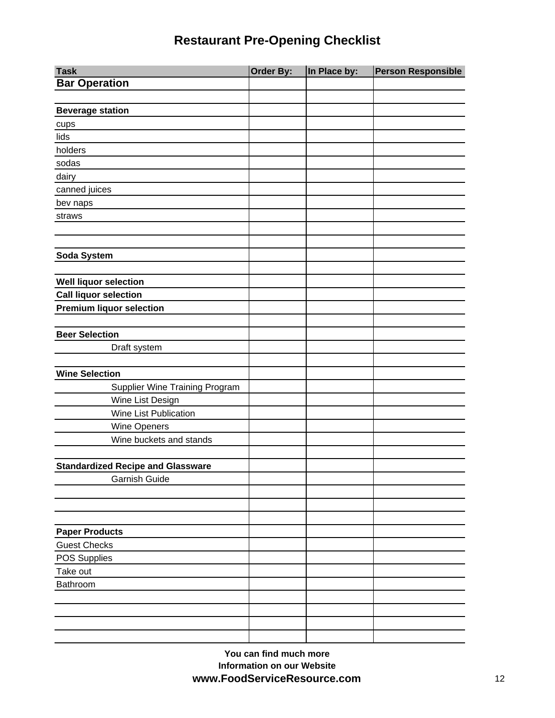| <b>Task</b>                              | <b>Order By:</b> | In Place by: | <b>Person Responsible</b> |
|------------------------------------------|------------------|--------------|---------------------------|
| <b>Bar Operation</b>                     |                  |              |                           |
|                                          |                  |              |                           |
| <b>Beverage station</b>                  |                  |              |                           |
| cups                                     |                  |              |                           |
| lids                                     |                  |              |                           |
| holders                                  |                  |              |                           |
| sodas                                    |                  |              |                           |
| dairy                                    |                  |              |                           |
| canned juices                            |                  |              |                           |
| bev naps                                 |                  |              |                           |
| straws                                   |                  |              |                           |
|                                          |                  |              |                           |
|                                          |                  |              |                           |
| Soda System                              |                  |              |                           |
|                                          |                  |              |                           |
| <b>Well liquor selection</b>             |                  |              |                           |
| <b>Call liquor selection</b>             |                  |              |                           |
| <b>Premium liquor selection</b>          |                  |              |                           |
|                                          |                  |              |                           |
| <b>Beer Selection</b>                    |                  |              |                           |
| Draft system                             |                  |              |                           |
|                                          |                  |              |                           |
| <b>Wine Selection</b>                    |                  |              |                           |
| Supplier Wine Training Program           |                  |              |                           |
| Wine List Design                         |                  |              |                           |
| Wine List Publication                    |                  |              |                           |
| Wine Openers                             |                  |              |                           |
| Wine buckets and stands                  |                  |              |                           |
|                                          |                  |              |                           |
| <b>Standardized Recipe and Glassware</b> |                  |              |                           |
| Garnish Guide                            |                  |              |                           |
|                                          |                  |              |                           |
|                                          |                  |              |                           |
|                                          |                  |              |                           |
| <b>Paper Products</b>                    |                  |              |                           |
| <b>Guest Checks</b>                      |                  |              |                           |
| POS Supplies                             |                  |              |                           |
| Take out                                 |                  |              |                           |
| Bathroom                                 |                  |              |                           |
|                                          |                  |              |                           |
|                                          |                  |              |                           |
|                                          |                  |              |                           |
|                                          |                  |              |                           |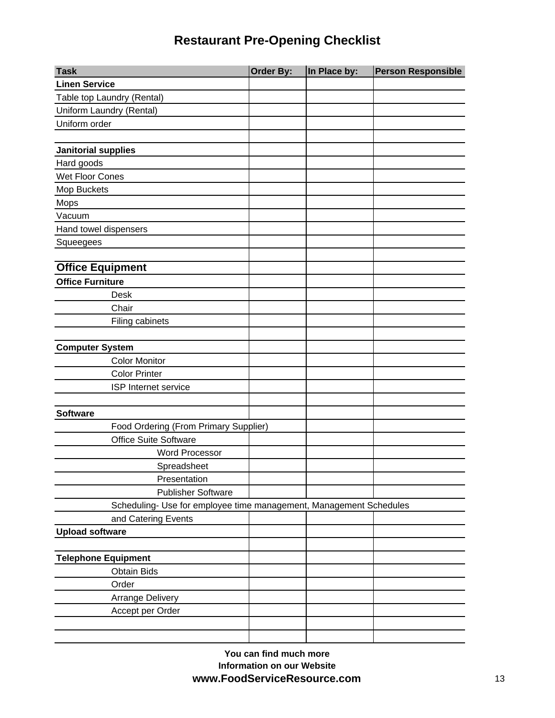| <b>Task</b>                                                        | Order By: | In Place by: | <b>Person Responsible</b> |
|--------------------------------------------------------------------|-----------|--------------|---------------------------|
| <b>Linen Service</b>                                               |           |              |                           |
| Table top Laundry (Rental)                                         |           |              |                           |
| Uniform Laundry (Rental)                                           |           |              |                           |
| Uniform order                                                      |           |              |                           |
|                                                                    |           |              |                           |
| <b>Janitorial supplies</b>                                         |           |              |                           |
| Hard goods                                                         |           |              |                           |
| Wet Floor Cones                                                    |           |              |                           |
| Mop Buckets                                                        |           |              |                           |
| Mops                                                               |           |              |                           |
| Vacuum                                                             |           |              |                           |
| Hand towel dispensers                                              |           |              |                           |
| Squeegees                                                          |           |              |                           |
|                                                                    |           |              |                           |
| <b>Office Equipment</b>                                            |           |              |                           |
| <b>Office Furniture</b>                                            |           |              |                           |
| Desk                                                               |           |              |                           |
| Chair                                                              |           |              |                           |
| Filing cabinets                                                    |           |              |                           |
|                                                                    |           |              |                           |
| <b>Computer System</b>                                             |           |              |                           |
| <b>Color Monitor</b>                                               |           |              |                           |
| <b>Color Printer</b>                                               |           |              |                           |
| ISP Internet service                                               |           |              |                           |
|                                                                    |           |              |                           |
| <b>Software</b>                                                    |           |              |                           |
| Food Ordering (From Primary Supplier)                              |           |              |                           |
| <b>Office Suite Software</b>                                       |           |              |                           |
| <b>Word Processor</b>                                              |           |              |                           |
| Spreadsheet                                                        |           |              |                           |
| Presentation                                                       |           |              |                           |
| <b>Publisher Software</b>                                          |           |              |                           |
| Scheduling- Use for employee time management, Management Schedules |           |              |                           |
| and Catering Events                                                |           |              |                           |
| <b>Upload software</b>                                             |           |              |                           |
|                                                                    |           |              |                           |
| <b>Telephone Equipment</b>                                         |           |              |                           |
| <b>Obtain Bids</b>                                                 |           |              |                           |
| Order                                                              |           |              |                           |
| <b>Arrange Delivery</b>                                            |           |              |                           |
| Accept per Order                                                   |           |              |                           |
|                                                                    |           |              |                           |
|                                                                    |           |              |                           |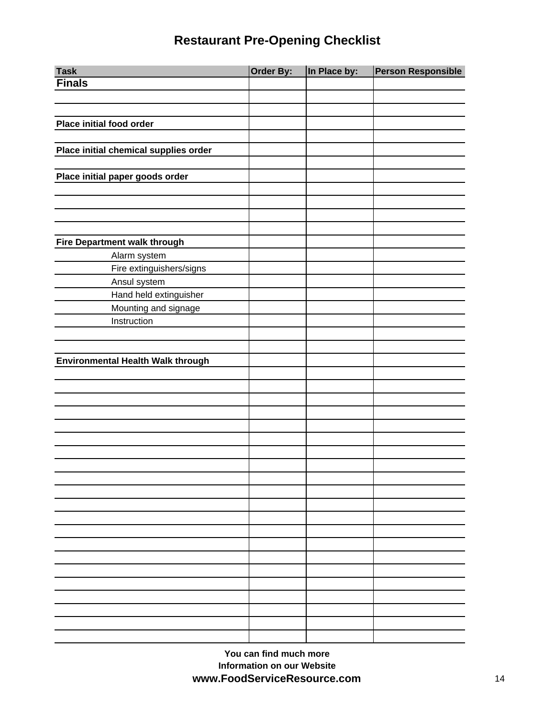| <b>Task</b>                              | Order By: | In Place by: | <b>Person Responsible</b> |
|------------------------------------------|-----------|--------------|---------------------------|
| <b>Finals</b>                            |           |              |                           |
|                                          |           |              |                           |
|                                          |           |              |                           |
| <b>Place initial food order</b>          |           |              |                           |
|                                          |           |              |                           |
| Place initial chemical supplies order    |           |              |                           |
|                                          |           |              |                           |
| Place initial paper goods order          |           |              |                           |
|                                          |           |              |                           |
|                                          |           |              |                           |
|                                          |           |              |                           |
|                                          |           |              |                           |
| <b>Fire Department walk through</b>      |           |              |                           |
| Alarm system                             |           |              |                           |
| Fire extinguishers/signs                 |           |              |                           |
| Ansul system                             |           |              |                           |
| Hand held extinguisher                   |           |              |                           |
| Mounting and signage                     |           |              |                           |
| Instruction                              |           |              |                           |
|                                          |           |              |                           |
|                                          |           |              |                           |
| <b>Environmental Health Walk through</b> |           |              |                           |
|                                          |           |              |                           |
|                                          |           |              |                           |
|                                          |           |              |                           |
|                                          |           |              |                           |
|                                          |           |              |                           |
|                                          |           |              |                           |
|                                          |           |              |                           |
|                                          |           |              |                           |
|                                          |           |              |                           |
|                                          |           |              |                           |
|                                          |           |              |                           |
|                                          |           |              |                           |
|                                          |           |              |                           |
|                                          |           |              |                           |
|                                          |           |              |                           |
|                                          |           |              |                           |
|                                          |           |              |                           |
|                                          |           |              |                           |
|                                          |           |              |                           |
|                                          |           |              |                           |
|                                          |           |              |                           |